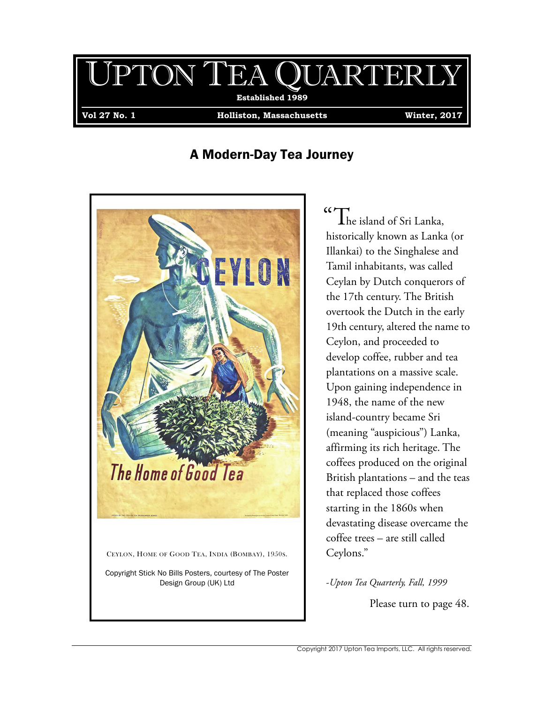## UPTON TEA QUARTERLY **.Established 1989.**

**Vol 27 No. 1 Holliston, Massachusetts Winter, 2017**

## A Modern-Day Tea Journey



# $\mathcal{C}$  The island of Sri Lanka,

historically known as Lanka (or Illankai) to the Singhalese and Tamil inhabitants, was called Ceylan by Dutch conquerors of the 17th century. The British overtook the Dutch in the early 19th century, altered the name to Ceylon, and proceeded to develop coffee, rubber and tea plantations on a massive scale. Upon gaining independence in 1948, the name of the new island-country became Sri (meaning "auspicious") Lanka, affirming its rich heritage. The coffees produced on the original British plantations – and the teas that replaced those coffees starting in the 1860s when devastating disease overcame the coffee trees – are still called Ceylons."

### -*Upton Tea Quarterly, Fall, 1999*

Please turn to page 48.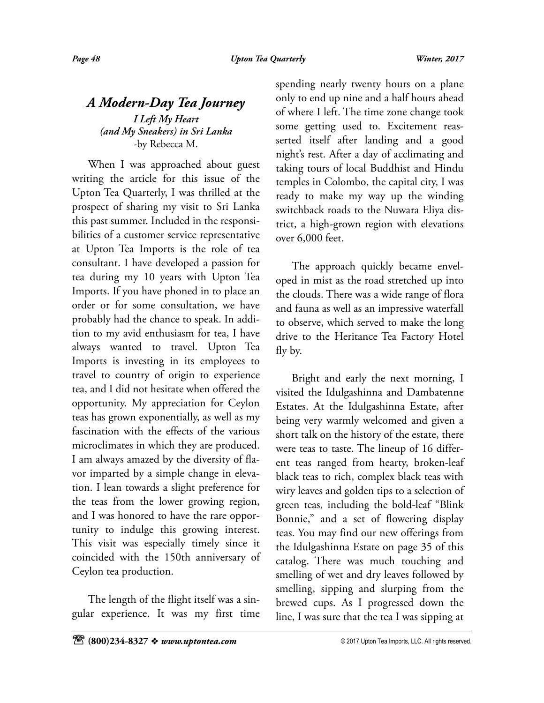### *A Modern-Day Tea Journey I Left My Heart (and My Sneakers) in Sri Lanka* -by Rebecca M.

When I was approached about guest writing the article for this issue of the Upton Tea Quarterly, I was thrilled at the prospect of sharing my visit to Sri Lanka this past summer. Included in the responsibilities of a customer service representative at Upton Tea Imports is the role of tea consultant. I have developed a passion for tea during my 10 years with Upton Tea Imports. If you have phoned in to place an order or for some consultation, we have probably had the chance to speak. In addition to my avid enthusiasm for tea, I have always wanted to travel. Upton Tea Imports is investing in its employees to travel to country of origin to experience tea, and I did not hesitate when offered the opportunity. My appreciation for Ceylon teas has grown exponentially, as well as my fascination with the effects of the various microclimates in which they are produced. I am always amazed by the diversity of flavor imparted by a simple change in elevation. I lean towards a slight preference for the teas from the lower growing region, and I was honored to have the rare opportunity to indulge this growing interest. This visit was especially timely since it coincided with the 150th anniversary of Ceylon tea production.

The length of the flight itself was a singular experience. It was my first time spending nearly twenty hours on a plane only to end up nine and a half hours ahead of where I left. The time zone change took some getting used to. Excitement reasserted itself after landing and a good night's rest. After a day of acclimating and taking tours of local Buddhist and Hindu temples in Colombo, the capital city, I was ready to make my way up the winding switchback roads to the Nuwara Eliya district, a high-grown region with elevations over 6,000 feet.

The approach quickly became enveloped in mist as the road stretched up into the clouds. There was a wide range of flora and fauna as well as an impressive waterfall to observe, which served to make the long drive to the Heritance Tea Factory Hotel fly by.

Bright and early the next morning, I visited the Idulgashinna and Dambatenne Estates. At the Idulgashinna Estate, after being very warmly welcomed and given a short talk on the history of the estate, there were teas to taste. The lineup of 16 different teas ranged from hearty, broken-leaf black teas to rich, complex black teas with wiry leaves and golden tips to a selection of green teas, including the bold-leaf "Blink Bonnie," and a set of flowering display teas. You may find our new offerings from the Idulgashinna Estate on page 35 of this catalog. There was much touching and smelling of wet and dry leaves followed by smelling, sipping and slurping from the brewed cups. As I progressed down the line, I was sure that the tea I was sipping at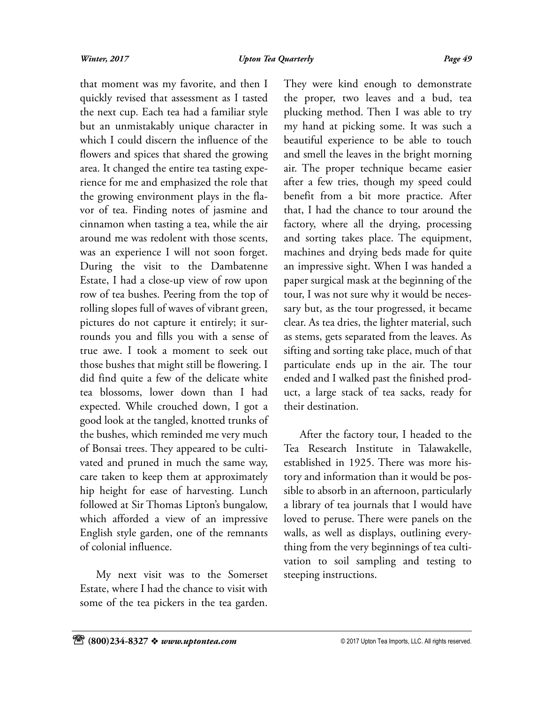that moment was my favorite, and then I quickly revised that assessment as I tasted the next cup. Each tea had a familiar style but an unmistakably unique character in which I could discern the influence of the flowers and spices that shared the growing area. It changed the entire tea tasting experience for me and emphasized the role that the growing environment plays in the flavor of tea. Finding notes of jasmine and cinnamon when tasting a tea, while the air around me was redolent with those scents, was an experience I will not soon forget. During the visit to the Dambatenne Estate, I had a close-up view of row upon row of tea bushes. Peering from the top of rolling slopes full of waves of vibrant green, pictures do not capture it entirely; it surrounds you and fills you with a sense of true awe. I took a moment to seek out those bushes that might still be flowering. I did find quite a few of the delicate white tea blossoms, lower down than I had expected. While crouched down, I got a good look at the tangled, knotted trunks of the bushes, which reminded me very much of Bonsai trees. They appeared to be cultivated and pruned in much the same way, care taken to keep them at approximately hip height for ease of harvesting. Lunch followed at Sir Thomas Lipton's bungalow, which afforded a view of an impressive English style garden, one of the remnants of colonial influence.

My next visit was to the Somerset Estate, where I had the chance to visit with some of the tea pickers in the tea garden. They were kind enough to demonstrate the proper, two leaves and a bud, tea plucking method. Then I was able to try my hand at picking some. It was such a beautiful experience to be able to touch and smell the leaves in the bright morning air. The proper technique became easier after a few tries, though my speed could benefit from a bit more practice. After that, I had the chance to tour around the factory, where all the drying, processing and sorting takes place. The equipment, machines and drying beds made for quite an impressive sight. When I was handed a paper surgical mask at the beginning of the tour, I was not sure why it would be necessary but, as the tour progressed, it became clear. As tea dries, the lighter material, such as stems, gets separated from the leaves. As sifting and sorting take place, much of that particulate ends up in the air. The tour ended and I walked past the finished product, a large stack of tea sacks, ready for their destination.

After the factory tour, I headed to the Tea Research Institute in Talawakelle, established in 1925. There was more history and information than it would be possible to absorb in an afternoon, particularly a library of tea journals that I would have loved to peruse. There were panels on the walls, as well as displays, outlining everything from the very beginnings of tea cultivation to soil sampling and testing to steeping instructions.